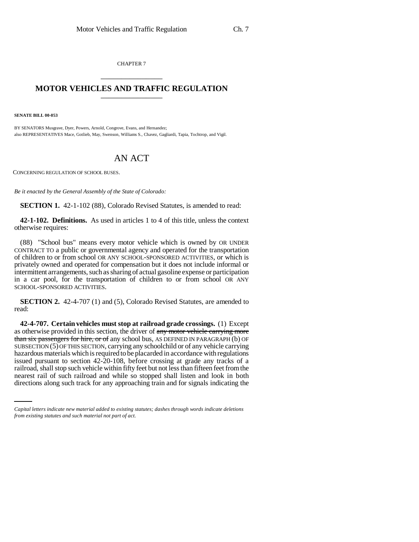CHAPTER 7 \_\_\_\_\_\_\_\_\_\_\_\_\_\_\_

## **MOTOR VEHICLES AND TRAFFIC REGULATION** \_\_\_\_\_\_\_\_\_\_\_\_\_\_\_

**SENATE BILL 00-053** 

BY SENATORS Musgrave, Dyer, Powers, Arnold, Congrove, Evans, and Hernandez; also REPRESENTATIVES Mace, Gotlieb, May, Swenson, Williams S., Chavez, Gagliardi, Tapia, Tochtrop, and Vigil.

## AN ACT

CONCERNING REGULATION OF SCHOOL BUSES.

*Be it enacted by the General Assembly of the State of Colorado:*

**SECTION 1.** 42-1-102 (88), Colorado Revised Statutes, is amended to read:

**42-1-102. Definitions.** As used in articles 1 to 4 of this title, unless the context otherwise requires:

(88) "School bus" means every motor vehicle which is owned by OR UNDER CONTRACT TO a public or governmental agency and operated for the transportation of children to or from school OR ANY SCHOOL-SPONSORED ACTIVITIES, or which is privately owned and operated for compensation but it does not include informal or intermittent arrangements, such as sharing of actual gasoline expense or participation in a car pool, for the transportation of children to or from school OR ANY SCHOOL-SPONSORED ACTIVITIES.

**SECTION 2.** 42-4-707 (1) and (5), Colorado Revised Statutes, are amended to read:

railroad, shall stop such vehicle within fifty feet but not less than fifteen feet from the **42-4-707. Certain vehicles must stop at railroad grade crossings.** (1) Except as otherwise provided in this section, the driver of any motor vehicle carrying more than six passengers for hire, or of any school bus, AS DEFINED IN PARAGRAPH (b) OF SUBSECTION (5) OF THIS SECTION, carrying any schoolchild or of any vehicle carrying hazardous materials which is required to be placarded in accordance with regulations issued pursuant to section 42-20-108, before crossing at grade any tracks of a nearest rail of such railroad and while so stopped shall listen and look in both directions along such track for any approaching train and for signals indicating the

*Capital letters indicate new material added to existing statutes; dashes through words indicate deletions from existing statutes and such material not part of act.*